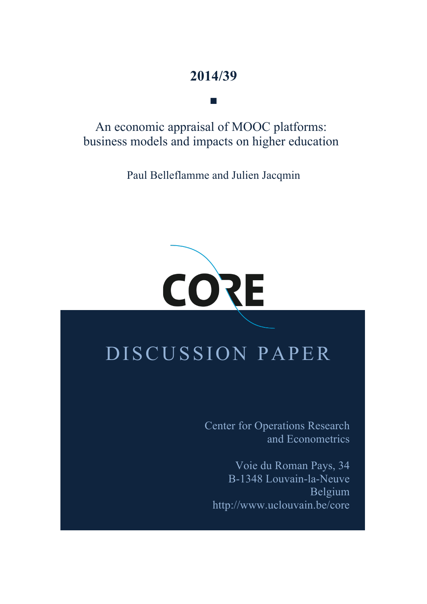# **2014/39**

■

An economic appraisal of MOOC platforms: business models and impacts on higher education

Paul Belleflamme and Julien Jacqmin



# DISCUSSION PAPER

Center for Operations Research and Econometrics

Voie du Roman Pays, 34 B-1348 Louvain-la-Neuve Belgium http://www.uclouvain.be/core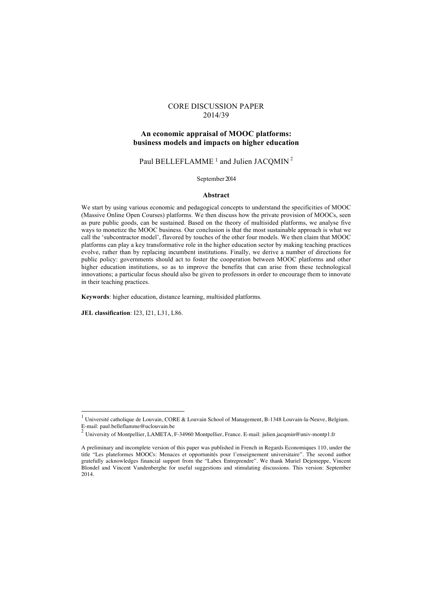# CORE DISCUSSION PAPER 2014/39

# **An economic appraisal of MOOC platforms: business models and impacts on higher education**

# Paul BELLEFLAMME<sup>1</sup> and Julien JACOMIN<sup>2</sup>

September 2014

#### **Abstract**

We start by using various economic and pedagogical concepts to understand the specificities of MOOC (Massive Online Open Courses) platforms. We then discuss how the private provision of MOOCs, seen as pure public goods, can be sustained. Based on the theory of multisided platforms, we analyse five ways to monetize the MOOC business. Our conclusion is that the most sustainable approach is what we call the 'subcontractor model', flavored by touches of the other four models. We then claim that MOOC platforms can play a key transformative role in the higher education sector by making teaching practices evolve, rather than by replacing incumbent institutions. Finally, we derive a number of directions for public policy: governments should act to foster the cooperation between MOOC platforms and other higher education institutions, so as to improve the benefits that can arise from these technological innovations; a particular focus should also be given to professors in order to encourage them to innovate in their teaching practices.

**Keywords**: higher education, distance learning, multisided platforms.

**JEL classification**: I23, I21, L31, L86.

 $1$  Université catholique de Louvain, CORE & Louvain School of Management, B-1348 Louvain-la-Neuve, Belgium. E-mail: paul.belleflamme@uclouvain.be<br>
<sup>2</sup> University of Montpellier, LAMETA, F-34960 Montpellier, France. E-mail: julien.jacqmin@univ-montp1.fr

A preliminary and incomplete version of this paper was published in French in Regards Economiques 110, under the title "Les plateformes MOOCs: Menaces et opportunités pour l'enseignement universitaire". The second author gratefully acknowledges financial support from the "Labex Entreprendre". We thank Muriel Dejemeppe, Vincent Blondel and Vincent Vandenberghe for useful suggestions and stimulating discussions. This version: September 2014.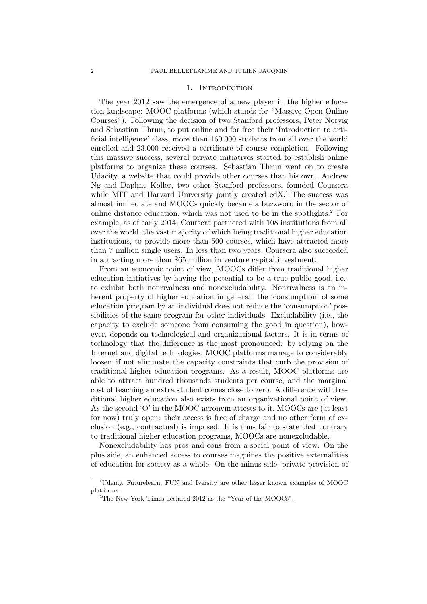#### 1. Introduction

The year 2012 saw the emergence of a new player in the higher education landscape: MOOC platforms (which stands for "Massive Open Online Courses"). Following the decision of two Stanford professors, Peter Norvig and Sebastian Thrun, to put online and for free their 'Introduction to artificial intelligence' class, more than 160.000 students from all over the world enrolled and 23.000 received a certificate of course completion. Following this massive success, several private initiatives started to establish online platforms to organize these courses. Sebastian Thrun went on to create Udacity, a website that could provide other courses than his own. Andrew Ng and Daphne Koller, two other Stanford professors, founded Coursera while MIT and Harvard University jointly created  $edX<sup>1</sup>$ . The success was almost immediate and MOOCs quickly became a buzzword in the sector of online distance education, which was not used to be in the spotlights.<sup>2</sup> For example, as of early 2014, Coursera partnered with 108 institutions from all over the world, the vast majority of which being traditional higher education institutions, to provide more than 500 courses, which have attracted more than 7 million single users. In less than two years, Coursera also succeeded in attracting more than \$65 million in venture capital investment.

From an economic point of view, MOOCs differ from traditional higher education initiatives by having the potential to be a true public good, i.e., to exhibit both nonrivalness and nonexcludability. Nonrivalness is an inherent property of higher education in general: the 'consumption' of some education program by an individual does not reduce the 'consumption' possibilities of the same program for other individuals. Excludability (i.e., the capacity to exclude someone from consuming the good in question), however, depends on technological and organizational factors. It is in terms of technology that the difference is the most pronounced: by relying on the Internet and digital technologies, MOOC platforms manage to considerably loosen–if not eliminate–the capacity constraints that curb the provision of traditional higher education programs. As a result, MOOC platforms are able to attract hundred thousands students per course, and the marginal cost of teaching an extra student comes close to zero. A difference with traditional higher education also exists from an organizational point of view. As the second 'O' in the MOOC acronym attests to it, MOOCs are (at least for now) truly open: their access is free of charge and no other form of exclusion (e.g., contractual) is imposed. It is thus fair to state that contrary to traditional higher education programs, MOOCs are nonexcludable.

Nonexcludability has pros and cons from a social point of view. On the plus side, an enhanced access to courses magnifies the positive externalities of education for society as a whole. On the minus side, private provision of

<sup>1</sup>Udemy, Futurelearn, FUN and Iversity are other lesser known examples of MOOC platforms.

 $^{2} \mathrm{The}$  New-York Times declared 2012 as the "Year of the MOOCs".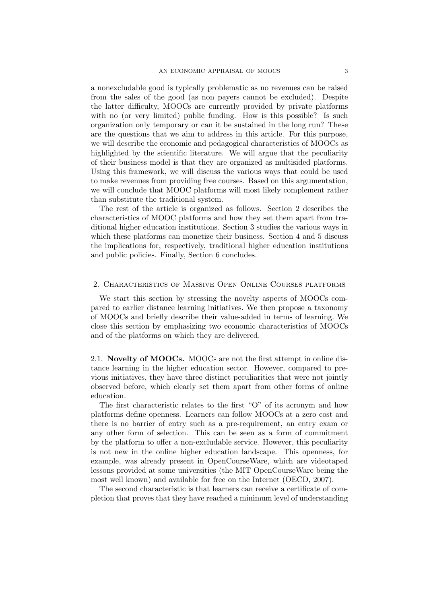a nonexcludable good is typically problematic as no revenues can be raised from the sales of the good (as non payers cannot be excluded). Despite the latter difficulty, MOOCs are currently provided by private platforms with no (or very limited) public funding. How is this possible? Is such organization only temporary or can it be sustained in the long run? These are the questions that we aim to address in this article. For this purpose, we will describe the economic and pedagogical characteristics of MOOCs as highlighted by the scientific literature. We will argue that the peculiarity of their business model is that they are organized as multisided platforms. Using this framework, we will discuss the various ways that could be used to make revenues from providing free courses. Based on this argumentation, we will conclude that MOOC platforms will most likely complement rather than substitute the traditional system.

The rest of the article is organized as follows. Section 2 describes the characteristics of MOOC platforms and how they set them apart from traditional higher education institutions. Section 3 studies the various ways in which these platforms can monetize their business. Section 4 and 5 discuss the implications for, respectively, traditional higher education institutions and public policies. Finally, Section 6 concludes.

### 2. Characteristics of Massive Open Online Courses platforms

We start this section by stressing the novelty aspects of MOOCs compared to earlier distance learning initiatives. We then propose a taxonomy of MOOCs and briefly describe their value-added in terms of learning. We close this section by emphasizing two economic characteristics of MOOCs and of the platforms on which they are delivered.

2.1. Novelty of MOOCs. MOOCs are not the first attempt in online distance learning in the higher education sector. However, compared to previous initiatives, they have three distinct peculiarities that were not jointly observed before, which clearly set them apart from other forms of online education.

The first characteristic relates to the first "O" of its acronym and how platforms define openness. Learners can follow MOOCs at a zero cost and there is no barrier of entry such as a pre-requirement, an entry exam or any other form of selection. This can be seen as a form of commitment by the platform to offer a non-excludable service. However, this peculiarity is not new in the online higher education landscape. This openness, for example, was already present in OpenCourseWare, which are videotaped lessons provided at some universities (the MIT OpenCourseWare being the most well known) and available for free on the Internet (OECD, 2007).

The second characteristic is that learners can receive a certificate of completion that proves that they have reached a minimum level of understanding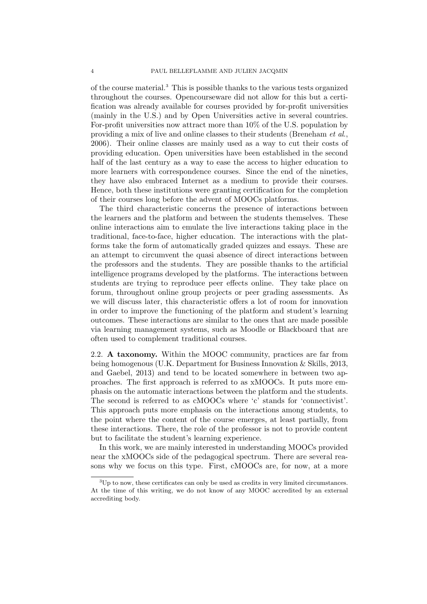of the course material.<sup>3</sup> This is possible thanks to the various tests organized throughout the courses. Opencourseware did not allow for this but a certification was already available for courses provided by for-profit universities (mainly in the U.S.) and by Open Universities active in several countries. For-profit universities now attract more than 10% of the U.S. population by providing a mix of live and online classes to their students (Breneham et al., 2006). Their online classes are mainly used as a way to cut their costs of providing education. Open universities have been established in the second half of the last century as a way to ease the access to higher education to more learners with correspondence courses. Since the end of the nineties, they have also embraced Internet as a medium to provide their courses. Hence, both these institutions were granting certification for the completion of their courses long before the advent of MOOCs platforms.

The third characteristic concerns the presence of interactions between the learners and the platform and between the students themselves. These online interactions aim to emulate the live interactions taking place in the traditional, face-to-face, higher education. The interactions with the platforms take the form of automatically graded quizzes and essays. These are an attempt to circumvent the quasi absence of direct interactions between the professors and the students. They are possible thanks to the artificial intelligence programs developed by the platforms. The interactions between students are trying to reproduce peer effects online. They take place on forum, throughout online group projects or peer grading assessments. As we will discuss later, this characteristic offers a lot of room for innovation in order to improve the functioning of the platform and student's learning outcomes. These interactions are similar to the ones that are made possible via learning management systems, such as Moodle or Blackboard that are often used to complement traditional courses.

2.2. A taxonomy. Within the MOOC community, practices are far from being homogenous (U.K. Department for Business Innovation & Skills, 2013, and Gaebel, 2013) and tend to be located somewhere in between two approaches. The first approach is referred to as xMOOCs. It puts more emphasis on the automatic interactions between the platform and the students. The second is referred to as cMOOCs where 'c' stands for 'connectivist'. This approach puts more emphasis on the interactions among students, to the point where the content of the course emerges, at least partially, from these interactions. There, the role of the professor is not to provide content but to facilitate the student's learning experience.

In this work, we are mainly interested in understanding MOOCs provided near the xMOOCs side of the pedagogical spectrum. There are several reasons why we focus on this type. First, cMOOCs are, for now, at a more

<sup>3</sup>Up to now, these certificates can only be used as credits in very limited circumstances. At the time of this writing, we do not know of any MOOC accredited by an external accrediting body.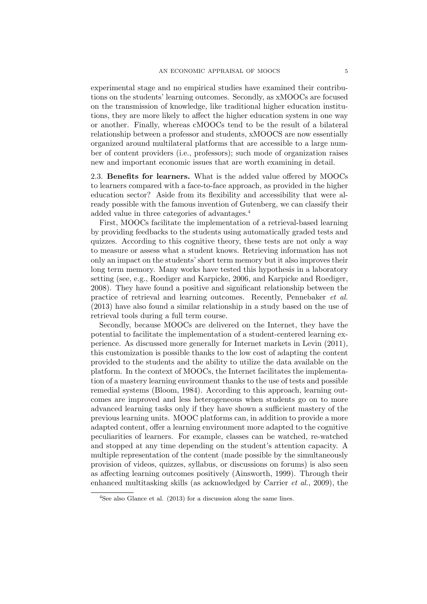experimental stage and no empirical studies have examined their contributions on the students' learning outcomes. Secondly, as xMOOCs are focused on the transmission of knowledge, like traditional higher education institutions, they are more likely to affect the higher education system in one way or another. Finally, whereas cMOOCs tend to be the result of a bilateral relationship between a professor and students, xMOOCS are now essentially organized around multilateral platforms that are accessible to a large number of content providers (i.e., professors); such mode of organization raises new and important economic issues that are worth examining in detail.

2.3. Benefits for learners. What is the added value offered by MOOCs to learners compared with a face-to-face approach, as provided in the higher education sector? Aside from its flexibility and accessibility that were already possible with the famous invention of Gutenberg, we can classify their added value in three categories of advantages.<sup>4</sup>

First, MOOCs facilitate the implementation of a retrieval-based learning by providing feedbacks to the students using automatically graded tests and quizzes. According to this cognitive theory, these tests are not only a way to measure or assess what a student knows. Retrieving information has not only an impact on the students' short term memory but it also improves their long term memory. Many works have tested this hypothesis in a laboratory setting (see, e.g., Roediger and Karpicke, 2006, and Karpicke and Roediger, 2008). They have found a positive and significant relationship between the practice of retrieval and learning outcomes. Recently, Pennebaker et al. (2013) have also found a similar relationship in a study based on the use of retrieval tools during a full term course.

Secondly, because MOOCs are delivered on the Internet, they have the potential to facilitate the implementation of a student-centered learning experience. As discussed more generally for Internet markets in Levin (2011), this customization is possible thanks to the low cost of adapting the content provided to the students and the ability to utilize the data available on the platform. In the context of MOOCs, the Internet facilitates the implementation of a mastery learning environment thanks to the use of tests and possible remedial systems (Bloom, 1984). According to this approach, learning outcomes are improved and less heterogeneous when students go on to more advanced learning tasks only if they have shown a sufficient mastery of the previous learning units. MOOC platforms can, in addition to provide a more adapted content, offer a learning environment more adapted to the cognitive peculiarities of learners. For example, classes can be watched, re-watched and stopped at any time depending on the student's attention capacity. A multiple representation of the content (made possible by the simultaneously provision of videos, quizzes, syllabus, or discussions on forums) is also seen as affecting learning outcomes positively (Ainsworth, 1999). Through their enhanced multitasking skills (as acknowledged by Carrier et al., 2009), the

<sup>4</sup>See also Glance et al. (2013) for a discussion along the same lines.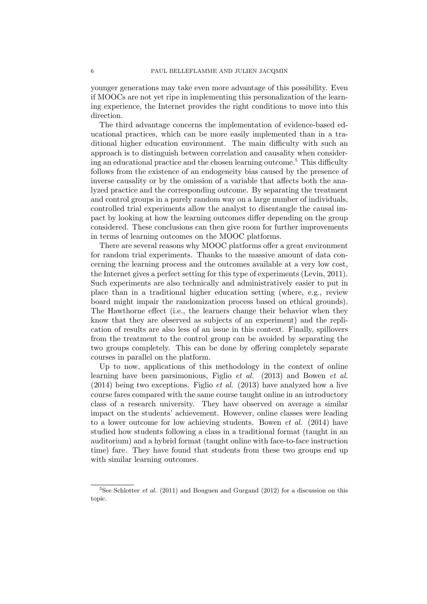younger generations may take even more advantage of this possibility. Even if MOOCs are not yet ripe in implementing this personalization of the learning experience, the Internet provides the right conditions to move into this direction.

The third advantage concerns the implementation of evidence-based educational practices, which can be more easily implemented than in a traditional higher education environment. The main difficulty with such an approach is to distinguish between correlation and causality when considering an educational practice and the chosen learning outcome.<sup>5</sup> This difficulty follows from the existence of an endogeneity bias caused by the presence of inverse causality or by the omission of a variable that affects both the analyzed practice and the corresponding outcome. By separating the treatment and control groups in a purely random way on a large number of individuals, controlled trial experiments allow the analyst to disentangle the causal impact by looking at how the learning outcomes differ depending on the group considered. These conclusions can then give room for further improvements in terms of learning outcomes on the MOOC platforms.

There are several reasons why MOOC platforms offer a great environment for random trial experiments. Thanks to the massive amount of data concerning the learning process and the outcomes available at a very low cost, the Internet gives a perfect setting for this type of experiments (Levin, 2011). Such experiments are also technically and administratively easier to put in place than in a traditional higher education setting (where, e.g., review board might impair the randomization process based on ethical grounds). The Hawthorne effect (i.e., the learners change their behavior when they know that they are observed as subjects of an experiment) and the replication of results are also less of an issue in this context. Finally, spillovers from the treatment to the control group can be avoided by separating the two groups completely. This can be done by offering completely separate courses in parallel on the platform.

Up to now, applications of this methodology in the context of online learning have been parsimonious, Figlio et al. (2013) and Bowen et al.  $(2014)$  being two exceptions. Figlio *et al.*  $(2013)$  have analyzed how a live course fares compared with the same course taught online in an introductory class of a research university. They have observed on average a similar impact on the students' achievement. However, online classes were leading to a lower outcome for low achieving students. Bowen et al. (2014) have studied how students following a class in a traditional format (taught in an auditorium) and a hybrid format (taught online with face-to-face instruction time) fare. They have found that students from these two groups end up with similar learning outcomes.

 ${}^{5}$ See Schlotter *et al.* (2011) and Bouguen and Gurgand (2012) for a discussion on this topic.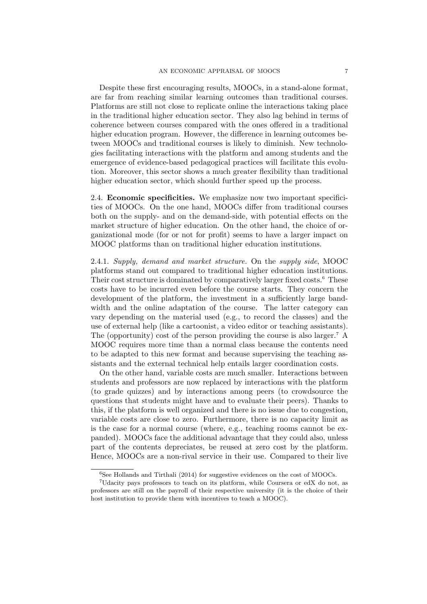Despite these first encouraging results, MOOCs, in a stand-alone format, are far from reaching similar learning outcomes than traditional courses. Platforms are still not close to replicate online the interactions taking place in the traditional higher education sector. They also lag behind in terms of coherence between courses compared with the ones offered in a traditional higher education program. However, the difference in learning outcomes between MOOCs and traditional courses is likely to diminish. New technologies facilitating interactions with the platform and among students and the emergence of evidence-based pedagogical practices will facilitate this evolution. Moreover, this sector shows a much greater flexibility than traditional higher education sector, which should further speed up the process.

2.4. Economic specificities. We emphasize now two important specificities of MOOCs. On the one hand, MOOCs differ from traditional courses both on the supply- and on the demand-side, with potential effects on the market structure of higher education. On the other hand, the choice of organizational mode (for or not for profit) seems to have a larger impact on MOOC platforms than on traditional higher education institutions.

2.4.1. Supply, demand and market structure. On the supply side, MOOC platforms stand out compared to traditional higher education institutions. Their cost structure is dominated by comparatively larger fixed costs.<sup>6</sup> These costs have to be incurred even before the course starts. They concern the development of the platform, the investment in a sufficiently large bandwidth and the online adaptation of the course. The latter category can vary depending on the material used (e.g., to record the classes) and the use of external help (like a cartoonist, a video editor or teaching assistants). The (opportunity) cost of the person providing the course is also larger.<sup>7</sup> A MOOC requires more time than a normal class because the contents need to be adapted to this new format and because supervising the teaching assistants and the external technical help entails larger coordination costs.

On the other hand, variable costs are much smaller. Interactions between students and professors are now replaced by interactions with the platform (to grade quizzes) and by interactions among peers (to crowdsource the questions that students might have and to evaluate their peers). Thanks to this, if the platform is well organized and there is no issue due to congestion, variable costs are close to zero. Furthermore, there is no capacity limit as is the case for a normal course (where, e.g., teaching rooms cannot be expanded). MOOCs face the additional advantage that they could also, unless part of the contents depreciates, be reused at zero cost by the platform. Hence, MOOCs are a non-rival service in their use. Compared to their live

 ${}^{6}$ See Hollands and Tirthali (2014) for suggestive evidences on the cost of MOOCs.

<sup>7</sup>Udacity pays professors to teach on its platform, while Coursera or edX do not, as professors are still on the payroll of their respective university (it is the choice of their host institution to provide them with incentives to teach a MOOC).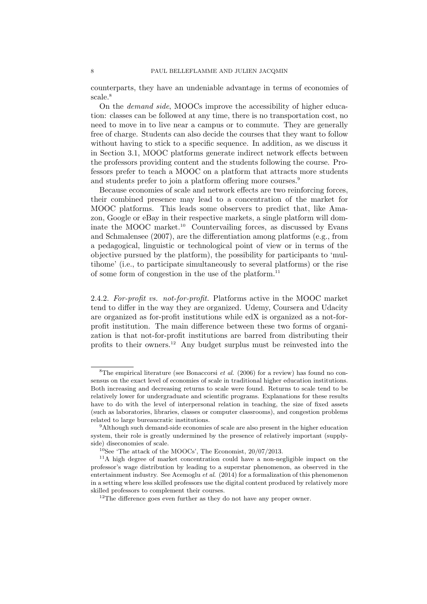counterparts, they have an undeniable advantage in terms of economies of scale.<sup>8</sup>

On the demand side, MOOCs improve the accessibility of higher education: classes can be followed at any time, there is no transportation cost, no need to move in to live near a campus or to commute. They are generally free of charge. Students can also decide the courses that they want to follow without having to stick to a specific sequence. In addition, as we discuss it in Section 3.1, MOOC platforms generate indirect network effects between the professors providing content and the students following the course. Professors prefer to teach a MOOC on a platform that attracts more students and students prefer to join a platform offering more courses.<sup>9</sup>

Because economies of scale and network effects are two reinforcing forces, their combined presence may lead to a concentration of the market for MOOC platforms. This leads some observers to predict that, like Amazon, Google or eBay in their respective markets, a single platform will dominate the MOOC market.<sup>10</sup> Countervailing forces, as discussed by Evans and Schmalensee (2007), are the differentiation among platforms (e.g., from a pedagogical, linguistic or technological point of view or in terms of the objective pursued by the platform), the possibility for participants to 'multihome' (i.e., to participate simultaneously to several platforms) or the rise of some form of congestion in the use of the platform.<sup>11</sup>

2.4.2. For-profit vs. not-for-profit. Platforms active in the MOOC market tend to differ in the way they are organized. Udemy, Coursera and Udacity are organized as for-profit institutions while edX is organized as a not-forprofit institution. The main difference between these two forms of organization is that not-for-profit institutions are barred from distributing their profits to their owners.<sup>12</sup> Any budget surplus must be reinvested into the

<sup>&</sup>lt;sup>8</sup>The empirical literature (see Bonaccorsi *et al.* (2006) for a review) has found no consensus on the exact level of economies of scale in traditional higher education institutions. Both increasing and decreasing returns to scale were found. Returns to scale tend to be relatively lower for undergraduate and scientific programs. Explanations for these results have to do with the level of interpersonal relation in teaching, the size of fixed assets (such as laboratories, libraries, classes or computer classrooms), and congestion problems related to large bureaucratic institutions.

<sup>&</sup>lt;sup>9</sup>Although such demand-side economies of scale are also present in the higher education system, their role is greatly undermined by the presence of relatively important (supplyside) diseconomies of scale.

<sup>&</sup>lt;sup>10</sup>See 'The attack of the MOOCs', The Economist,  $20/07/2013$ .

<sup>&</sup>lt;sup>11</sup>A high degree of market concentration could have a non-negligible impact on the professor's wage distribution by leading to a superstar phenomenon, as observed in the entertainment industry. See Acemoglu et al. (2014) for a formalization of this phenomenon in a setting where less skilled professors use the digital content produced by relatively more skilled professors to complement their courses.

<sup>&</sup>lt;sup>12</sup>The difference goes even further as they do not have any proper owner.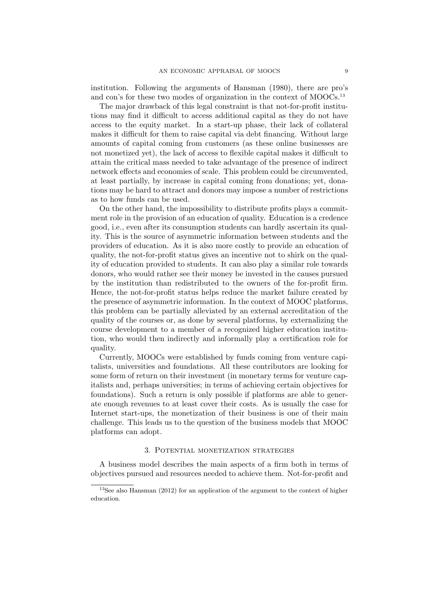institution. Following the arguments of Hansman (1980), there are pro's and con's for these two modes of organization in the context of MOOCs.<sup>13</sup>

The major drawback of this legal constraint is that not-for-profit institutions may find it difficult to access additional capital as they do not have access to the equity market. In a start-up phase, their lack of collateral makes it difficult for them to raise capital via debt financing. Without large amounts of capital coming from customers (as these online businesses are not monetized yet), the lack of access to flexible capital makes it difficult to attain the critical mass needed to take advantage of the presence of indirect network effects and economies of scale. This problem could be circumvented, at least partially, by increase in capital coming from donations; yet, donations may be hard to attract and donors may impose a number of restrictions as to how funds can be used.

On the other hand, the impossibility to distribute profits plays a commitment role in the provision of an education of quality. Education is a credence good, i.e., even after its consumption students can hardly ascertain its quality. This is the source of asymmetric information between students and the providers of education. As it is also more costly to provide an education of quality, the not-for-profit status gives an incentive not to shirk on the quality of education provided to students. It can also play a similar role towards donors, who would rather see their money be invested in the causes pursued by the institution than redistributed to the owners of the for-profit firm. Hence, the not-for-profit status helps reduce the market failure created by the presence of asymmetric information. In the context of MOOC platforms, this problem can be partially alleviated by an external accreditation of the quality of the courses or, as done by several platforms, by externalizing the course development to a member of a recognized higher education institution, who would then indirectly and informally play a certification role for quality.

Currently, MOOCs were established by funds coming from venture capitalists, universities and foundations. All these contributors are looking for some form of return on their investment (in monetary terms for venture capitalists and, perhaps universities; in terms of achieving certain objectives for foundations). Such a return is only possible if platforms are able to generate enough revenues to at least cover their costs. As is usually the case for Internet start-ups, the monetization of their business is one of their main challenge. This leads us to the question of the business models that MOOC platforms can adopt.

#### 3. Potential monetization strategies

A business model describes the main aspects of a firm both in terms of objectives pursued and resources needed to achieve them. Not-for-profit and

<sup>&</sup>lt;sup>13</sup>See also Hansman (2012) for an application of the argument to the context of higher education.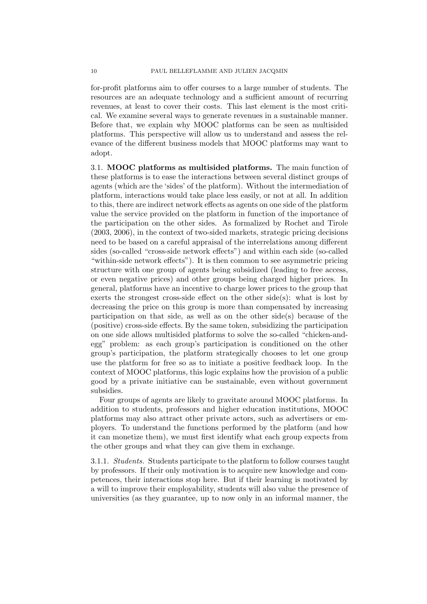for-profit platforms aim to offer courses to a large number of students. The resources are an adequate technology and a sufficient amount of recurring revenues, at least to cover their costs. This last element is the most critical. We examine several ways to generate revenues in a sustainable manner. Before that, we explain why MOOC platforms can be seen as multisided platforms. This perspective will allow us to understand and assess the relevance of the different business models that MOOC platforms may want to adopt.

3.1. MOOC platforms as multisided platforms. The main function of these platforms is to ease the interactions between several distinct groups of agents (which are the 'sides' of the platform). Without the intermediation of platform, interactions would take place less easily, or not at all. In addition to this, there are indirect network effects as agents on one side of the platform value the service provided on the platform in function of the importance of the participation on the other sides. As formalized by Rochet and Tirole (2003, 2006), in the context of two-sided markets, strategic pricing decisions need to be based on a careful appraisal of the interrelations among different sides (so-called "cross-side network effects") and within each side (so-called "within-side network effects"). It is then common to see asymmetric pricing structure with one group of agents being subsidized (leading to free access, or even negative prices) and other groups being charged higher prices. In general, platforms have an incentive to charge lower prices to the group that exerts the strongest cross-side effect on the other side(s): what is lost by decreasing the price on this group is more than compensated by increasing participation on that side, as well as on the other side(s) because of the (positive) cross-side effects. By the same token, subsidizing the participation on one side allows multisided platforms to solve the so-called "chicken-andegg" problem: as each group's participation is conditioned on the other group's participation, the platform strategically chooses to let one group use the platform for free so as to initiate a positive feedback loop. In the context of MOOC platforms, this logic explains how the provision of a public good by a private initiative can be sustainable, even without government subsidies.

Four groups of agents are likely to gravitate around MOOC platforms. In addition to students, professors and higher education institutions, MOOC platforms may also attract other private actors, such as advertisers or employers. To understand the functions performed by the platform (and how it can monetize them), we must first identify what each group expects from the other groups and what they can give them in exchange.

3.1.1. Students. Students participate to the platform to follow courses taught by professors. If their only motivation is to acquire new knowledge and competences, their interactions stop here. But if their learning is motivated by a will to improve their employability, students will also value the presence of universities (as they guarantee, up to now only in an informal manner, the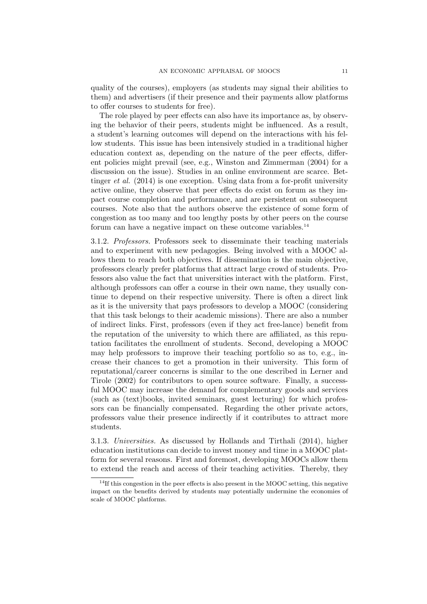quality of the courses), employers (as students may signal their abilities to them) and advertisers (if their presence and their payments allow platforms to offer courses to students for free).

The role played by peer effects can also have its importance as, by observing the behavior of their peers, students might be influenced. As a result, a student's learning outcomes will depend on the interactions with his fellow students. This issue has been intensively studied in a traditional higher education context as, depending on the nature of the peer effects, different policies might prevail (see, e.g., Winston and Zimmerman (2004) for a discussion on the issue). Studies in an online environment are scarce. Bettinger *et al.* (2014) is one exception. Using data from a for-profit university active online, they observe that peer effects do exist on forum as they impact course completion and performance, and are persistent on subsequent courses. Note also that the authors observe the existence of some form of congestion as too many and too lengthy posts by other peers on the course forum can have a negative impact on these outcome variables.<sup>14</sup>

3.1.2. Professors. Professors seek to disseminate their teaching materials and to experiment with new pedagogies. Being involved with a MOOC allows them to reach both objectives. If dissemination is the main objective, professors clearly prefer platforms that attract large crowd of students. Professors also value the fact that universities interact with the platform. First, although professors can offer a course in their own name, they usually continue to depend on their respective university. There is often a direct link as it is the university that pays professors to develop a MOOC (considering that this task belongs to their academic missions). There are also a number of indirect links. First, professors (even if they act free-lance) benefit from the reputation of the university to which there are affiliated, as this reputation facilitates the enrollment of students. Second, developing a MOOC may help professors to improve their teaching portfolio so as to, e.g., increase their chances to get a promotion in their university. This form of reputational/career concerns is similar to the one described in Lerner and Tirole (2002) for contributors to open source software. Finally, a successful MOOC may increase the demand for complementary goods and services (such as (text)books, invited seminars, guest lecturing) for which professors can be financially compensated. Regarding the other private actors, professors value their presence indirectly if it contributes to attract more students.

3.1.3. Universities. As discussed by Hollands and Tirthali (2014), higher education institutions can decide to invest money and time in a MOOC platform for several reasons. First and foremost, developing MOOCs allow them to extend the reach and access of their teaching activities. Thereby, they

 $14$ If this congestion in the peer effects is also present in the MOOC setting, this negative impact on the benefits derived by students may potentially undermine the economies of scale of MOOC platforms.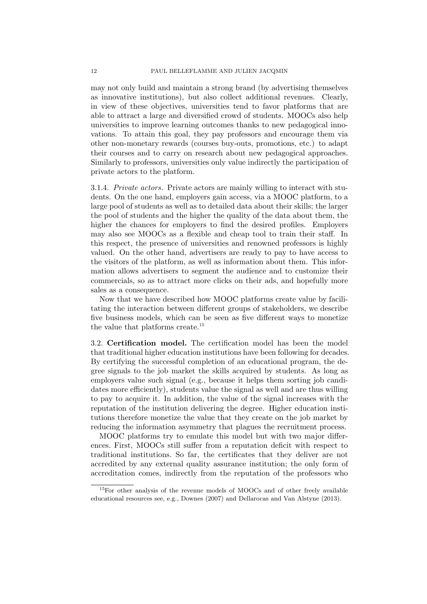may not only build and maintain a strong brand (by advertising themselves as innovative institutions), but also collect additional revenues. Clearly, in view of these objectives, universities tend to favor platforms that are able to attract a large and diversified crowd of students. MOOCs also help universities to improve learning outcomes thanks to new pedagogical innovations. To attain this goal, they pay professors and encourage them via other non-monetary rewards (courses buy-outs, promotions, etc.) to adapt their courses and to carry on research about new pedagogical approaches. Similarly to professors, universities only value indirectly the participation of private actors to the platform.

3.1.4. Private actors. Private actors are mainly willing to interact with students. On the one hand, employers gain access, via a MOOC platform, to a large pool of students as well as to detailed data about their skills; the larger the pool of students and the higher the quality of the data about them, the higher the chances for employers to find the desired profiles. Employers may also see MOOCs as a flexible and cheap tool to train their staff. In this respect, the presence of universities and renowned professors is highly valued. On the other hand, advertisers are ready to pay to have access to the visitors of the platform, as well as information about them. This information allows advertisers to segment the audience and to customize their commercials, so as to attract more clicks on their ads, and hopefully more sales as a consequence.

Now that we have described how MOOC platforms create value by facilitating the interaction between different groups of stakeholders, we describe five business models, which can be seen as five different ways to monetize the value that platforms create.<sup>15</sup>

3.2. Certification model. The certification model has been the model that traditional higher education institutions have been following for decades. By certifying the successful completion of an educational program, the degree signals to the job market the skills acquired by students. As long as employers value such signal (e.g., because it helps them sorting job candidates more efficiently), students value the signal as well and are thus willing to pay to acquire it. In addition, the value of the signal increases with the reputation of the institution delivering the degree. Higher education institutions therefore monetize the value that they create on the job market by reducing the information asymmetry that plagues the recruitment process.

MOOC platforms try to emulate this model but with two major differences. First, MOOCs still suffer from a reputation deficit with respect to traditional institutions. So far, the certificates that they deliver are not accredited by any external quality assurance institution; the only form of accreditation comes, indirectly from the reputation of the professors who

<sup>&</sup>lt;sup>15</sup>For other analysis of the revenue models of MOOCs and of other freely available educational resources see, e.g., Downes (2007) and Dellarocas and Van Alstyne (2013).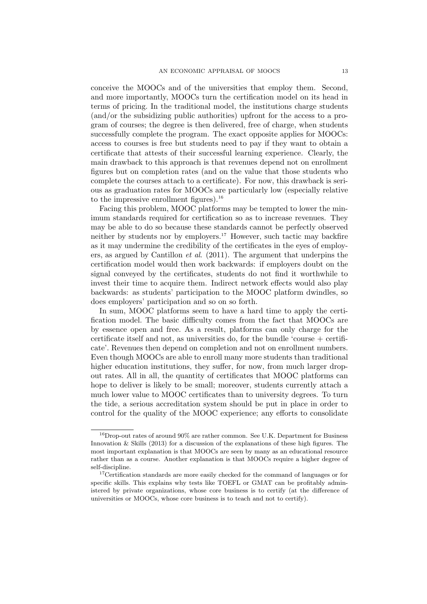conceive the MOOCs and of the universities that employ them. Second, and more importantly, MOOCs turn the certification model on its head in terms of pricing. In the traditional model, the institutions charge students (and/or the subsidizing public authorities) upfront for the access to a program of courses; the degree is then delivered, free of charge, when students successfully complete the program. The exact opposite applies for MOOCs: access to courses is free but students need to pay if they want to obtain a certificate that attests of their successful learning experience. Clearly, the main drawback to this approach is that revenues depend not on enrollment figures but on completion rates (and on the value that those students who complete the courses attach to a certificate). For now, this drawback is serious as graduation rates for MOOCs are particularly low (especially relative to the impressive enrollment figures).  $16$ 

Facing this problem, MOOC platforms may be tempted to lower the minimum standards required for certification so as to increase revenues. They may be able to do so because these standards cannot be perfectly observed neither by students nor by employers.<sup>17</sup> However, such tactic may backfire as it may undermine the credibility of the certificates in the eyes of employers, as argued by Cantillon et al. (2011). The argument that underpins the certification model would then work backwards: if employers doubt on the signal conveyed by the certificates, students do not find it worthwhile to invest their time to acquire them. Indirect network effects would also play backwards: as students' participation to the MOOC platform dwindles, so does employers' participation and so on so forth.

In sum, MOOC platforms seem to have a hard time to apply the certification model. The basic difficulty comes from the fact that MOOCs are by essence open and free. As a result, platforms can only charge for the certificate itself and not, as universities do, for the bundle 'course  $+$  certificate'. Revenues then depend on completion and not on enrollment numbers. Even though MOOCs are able to enroll many more students than traditional higher education institutions, they suffer, for now, from much larger dropout rates. All in all, the quantity of certificates that MOOC platforms can hope to deliver is likely to be small; moreover, students currently attach a much lower value to MOOC certificates than to university degrees. To turn the tide, a serious accreditation system should be put in place in order to control for the quality of the MOOC experience; any efforts to consolidate

<sup>16</sup>Drop-out rates of around 90% are rather common. See U.K. Department for Business Innovation & Skills (2013) for a discussion of the explanations of these high figures. The most important explanation is that MOOCs are seen by many as an educational resource rather than as a course. Another explanation is that MOOCs require a higher degree of self-discipline.

<sup>&</sup>lt;sup>17</sup>Certification standards are more easily checked for the command of languages or for specific skills. This explains why tests like TOEFL or GMAT can be profitably administered by private organizations, whose core business is to certify (at the difference of universities or MOOCs, whose core business is to teach and not to certify).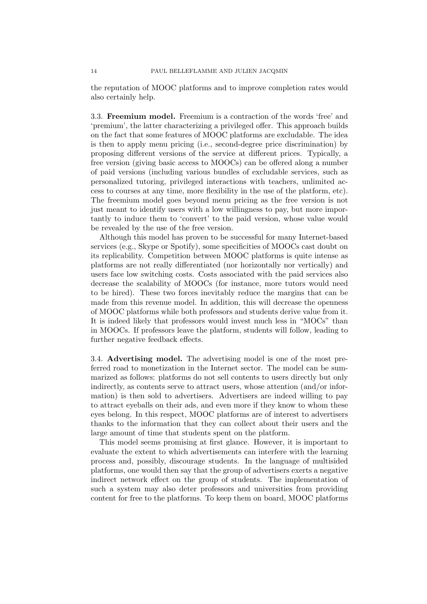the reputation of MOOC platforms and to improve completion rates would also certainly help.

3.3. Freemium model. Freemium is a contraction of the words 'free' and 'premium', the latter characterizing a privileged offer. This approach builds on the fact that some features of MOOC platforms are excludable. The idea is then to apply menu pricing (i.e., second-degree price discrimination) by proposing different versions of the service at different prices. Typically, a free version (giving basic access to MOOCs) can be offered along a number of paid versions (including various bundles of excludable services, such as personalized tutoring, privileged interactions with teachers, unlimited access to courses at any time, more flexibility in the use of the platform, etc). The freemium model goes beyond menu pricing as the free version is not just meant to identify users with a low willingness to pay, but more importantly to induce them to 'convert' to the paid version, whose value would be revealed by the use of the free version.

Although this model has proven to be successful for many Internet-based services (e.g., Skype or Spotify), some specificities of MOOCs cast doubt on its replicability. Competition between MOOC platforms is quite intense as platforms are not really differentiated (nor horizontally nor vertically) and users face low switching costs. Costs associated with the paid services also decrease the scalability of MOOCs (for instance, more tutors would need to be hired). These two forces inevitably reduce the margins that can be made from this revenue model. In addition, this will decrease the openness of MOOC platforms while both professors and students derive value from it. It is indeed likely that professors would invest much less in "MOCs" than in MOOCs. If professors leave the platform, students will follow, leading to further negative feedback effects.

3.4. Advertising model. The advertising model is one of the most preferred road to monetization in the Internet sector. The model can be summarized as follows: platforms do not sell contents to users directly but only indirectly, as contents serve to attract users, whose attention (and/or information) is then sold to advertisers. Advertisers are indeed willing to pay to attract eyeballs on their ads, and even more if they know to whom these eyes belong. In this respect, MOOC platforms are of interest to advertisers thanks to the information that they can collect about their users and the large amount of time that students spent on the platform.

This model seems promising at first glance. However, it is important to evaluate the extent to which advertisements can interfere with the learning process and, possibly, discourage students. In the language of multisided platforms, one would then say that the group of advertisers exerts a negative indirect network effect on the group of students. The implementation of such a system may also deter professors and universities from providing content for free to the platforms. To keep them on board, MOOC platforms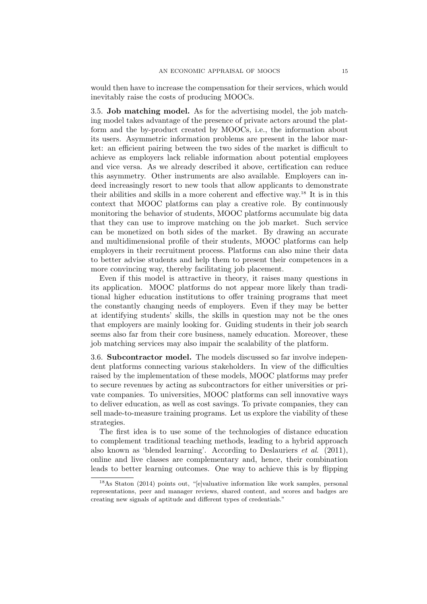would then have to increase the compensation for their services, which would inevitably raise the costs of producing MOOCs.

3.5. Job matching model. As for the advertising model, the job matching model takes advantage of the presence of private actors around the platform and the by-product created by MOOCs, i.e., the information about its users. Asymmetric information problems are present in the labor market: an efficient pairing between the two sides of the market is difficult to achieve as employers lack reliable information about potential employees and vice versa. As we already described it above, certification can reduce this asymmetry. Other instruments are also available. Employers can indeed increasingly resort to new tools that allow applicants to demonstrate their abilities and skills in a more coherent and effective way.<sup>18</sup> It is in this context that MOOC platforms can play a creative role. By continuously monitoring the behavior of students, MOOC platforms accumulate big data that they can use to improve matching on the job market. Such service can be monetized on both sides of the market. By drawing an accurate and multidimensional profile of their students, MOOC platforms can help employers in their recruitment process. Platforms can also mine their data to better advise students and help them to present their competences in a more convincing way, thereby facilitating job placement.

Even if this model is attractive in theory, it raises many questions in its application. MOOC platforms do not appear more likely than traditional higher education institutions to offer training programs that meet the constantly changing needs of employers. Even if they may be better at identifying students' skills, the skills in question may not be the ones that employers are mainly looking for. Guiding students in their job search seems also far from their core business, namely education. Moreover, these job matching services may also impair the scalability of the platform.

3.6. Subcontractor model. The models discussed so far involve independent platforms connecting various stakeholders. In view of the difficulties raised by the implementation of these models, MOOC platforms may prefer to secure revenues by acting as subcontractors for either universities or private companies. To universities, MOOC platforms can sell innovative ways to deliver education, as well as cost savings. To private companies, they can sell made-to-measure training programs. Let us explore the viability of these strategies.

The first idea is to use some of the technologies of distance education to complement traditional teaching methods, leading to a hybrid approach also known as 'blended learning'. According to Deslauriers et al. (2011), online and live classes are complementary and, hence, their combination leads to better learning outcomes. One way to achieve this is by flipping

<sup>18</sup>As Staton (2014) points out, "[e]valuative information like work samples, personal representations, peer and manager reviews, shared content, and scores and badges are creating new signals of aptitude and different types of credentials."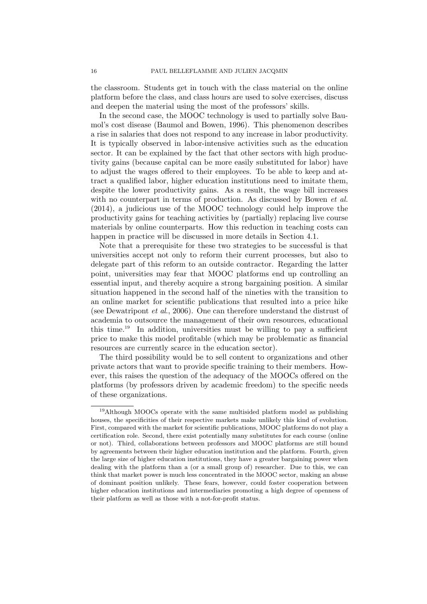the classroom. Students get in touch with the class material on the online platform before the class, and class hours are used to solve exercises, discuss and deepen the material using the most of the professors' skills.

In the second case, the MOOC technology is used to partially solve Baumol's cost disease (Baumol and Bowen, 1996). This phenomenon describes a rise in salaries that does not respond to any increase in labor productivity. It is typically observed in labor-intensive activities such as the education sector. It can be explained by the fact that other sectors with high productivity gains (because capital can be more easily substituted for labor) have to adjust the wages offered to their employees. To be able to keep and attract a qualified labor, higher education institutions need to imitate them, despite the lower productivity gains. As a result, the wage bill increases with no counterpart in terms of production. As discussed by Bowen *et al.* (2014), a judicious use of the MOOC technology could help improve the productivity gains for teaching activities by (partially) replacing live course materials by online counterparts. How this reduction in teaching costs can happen in practice will be discussed in more details in Section 4.1.

Note that a prerequisite for these two strategies to be successful is that universities accept not only to reform their current processes, but also to delegate part of this reform to an outside contractor. Regarding the latter point, universities may fear that MOOC platforms end up controlling an essential input, and thereby acquire a strong bargaining position. A similar situation happened in the second half of the nineties with the transition to an online market for scientific publications that resulted into a price hike (see Dewatripont et al., 2006). One can therefore understand the distrust of academia to outsource the management of their own resources, educational this time.<sup>19</sup> In addition, universities must be willing to pay a sufficient price to make this model profitable (which may be problematic as financial resources are currently scarce in the education sector).

The third possibility would be to sell content to organizations and other private actors that want to provide specific training to their members. However, this raises the question of the adequacy of the MOOCs offered on the platforms (by professors driven by academic freedom) to the specific needs of these organizations.

<sup>19</sup>Although MOOCs operate with the same multisided platform model as publishing houses, the specificities of their respective markets make unlikely this kind of evolution. First, compared with the market for scientific publications, MOOC platforms do not play a certification role. Second, there exist potentially many substitutes for each course (online or not). Third, collaborations between professors and MOOC platforms are still bound by agreements between their higher education institution and the platform. Fourth, given the large size of higher education institutions, they have a greater bargaining power when dealing with the platform than a (or a small group of) researcher. Due to this, we can think that market power is much less concentrated in the MOOC sector, making an abuse of dominant position unlikely. These fears, however, could foster cooperation between higher education institutions and intermediaries promoting a high degree of openness of their platform as well as those with a not-for-profit status.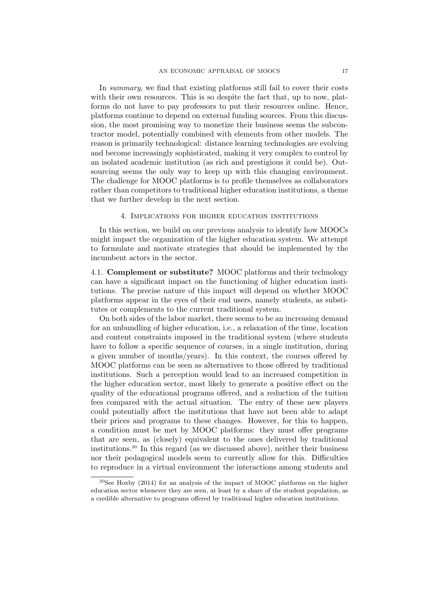In summary, we find that existing platforms still fail to cover their costs with their own resources. This is so despite the fact that, up to now, platforms do not have to pay professors to put their resources online. Hence, platforms continue to depend on external funding sources. From this discussion, the most promising way to monetize their business seems the subcontractor model, potentially combined with elements from other models. The reason is primarily technological: distance learning technologies are evolving and become increasingly sophisticated, making it very complex to control by an isolated academic institution (as rich and prestigious it could be). Outsourcing seems the only way to keep up with this changing environment. The challenge for MOOC platforms is to profile themselves as collaborators rather than competitors to traditional higher education institutions, a theme that we further develop in the next section.

# 4. Implications for higher education institutions

In this section, we build on our previous analysis to identify how MOOCs might impact the organization of the higher education system. We attempt to formulate and motivate strategies that should be implemented by the incumbent actors in the sector.

4.1. Complement or substitute? MOOC platforms and their technology can have a significant impact on the functioning of higher education institutions. The precise nature of this impact will depend on whether MOOC platforms appear in the eyes of their end users, namely students, as substitutes or complements to the current traditional system.

On both sides of the labor market, there seems to be an increasing demand for an unbundling of higher education, i.e., a relaxation of the time, location and content constraints imposed in the traditional system (where students have to follow a specific sequence of courses, in a single institution, during a given number of months/years). In this context, the courses offered by MOOC platforms can be seen as alternatives to those offered by traditional institutions. Such a perception would lead to an increased competition in the higher education sector, most likely to generate a positive effect on the quality of the educational programs offered, and a reduction of the tuition fees compared with the actual situation. The entry of these new players could potentially affect the institutions that have not been able to adapt their prices and programs to these changes. However, for this to happen, a condition must be met by MOOC platforms: they must offer programs that are seen, as (closely) equivalent to the ones delivered by traditional institutions.<sup>20</sup> In this regard (as we discussed above), neither their business nor their pedagogical models seem to currently allow for this. Difficulties to reproduce in a virtual environment the interactions among students and

<sup>20</sup>See Hoxby (2014) for an analysis of the impact of MOOC platforms on the higher education sector whenever they are seen, at least by a share of the student population, as a credible alternative to programs offered by traditional higher education institutions.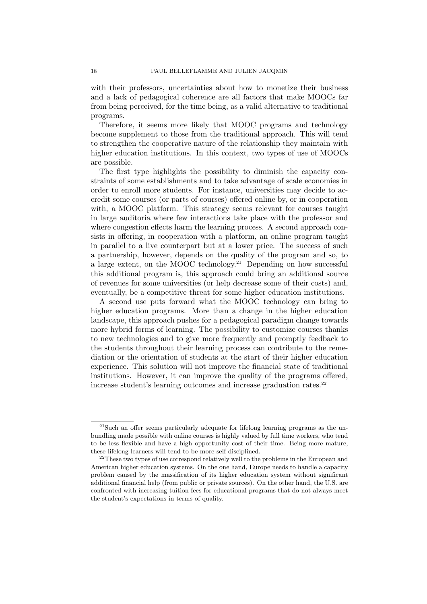with their professors, uncertainties about how to monetize their business and a lack of pedagogical coherence are all factors that make MOOCs far from being perceived, for the time being, as a valid alternative to traditional programs.

Therefore, it seems more likely that MOOC programs and technology become supplement to those from the traditional approach. This will tend to strengthen the cooperative nature of the relationship they maintain with higher education institutions. In this context, two types of use of MOOCs are possible.

The first type highlights the possibility to diminish the capacity constraints of some establishments and to take advantage of scale economies in order to enroll more students. For instance, universities may decide to accredit some courses (or parts of courses) offered online by, or in cooperation with, a MOOC platform. This strategy seems relevant for courses taught in large auditoria where few interactions take place with the professor and where congestion effects harm the learning process. A second approach consists in offering, in cooperation with a platform, an online program taught in parallel to a live counterpart but at a lower price. The success of such a partnership, however, depends on the quality of the program and so, to a large extent, on the MOOC technology.<sup>21</sup> Depending on how successful this additional program is, this approach could bring an additional source of revenues for some universities (or help decrease some of their costs) and, eventually, be a competitive threat for some higher education institutions.

A second use puts forward what the MOOC technology can bring to higher education programs. More than a change in the higher education landscape, this approach pushes for a pedagogical paradigm change towards more hybrid forms of learning. The possibility to customize courses thanks to new technologies and to give more frequently and promptly feedback to the students throughout their learning process can contribute to the remediation or the orientation of students at the start of their higher education experience. This solution will not improve the financial state of traditional institutions. However, it can improve the quality of the programs offered, increase student's learning outcomes and increase graduation rates.<sup>22</sup>

<sup>&</sup>lt;sup>21</sup>Such an offer seems particularly adequate for lifelong learning programs as the unbundling made possible with online courses is highly valued by full time workers, who tend to be less flexible and have a high opportunity cost of their time. Being more mature, these lifelong learners will tend to be more self-disciplined.

 $22$ These two types of use correspond relatively well to the problems in the European and American higher education systems. On the one hand, Europe needs to handle a capacity problem caused by the massification of its higher education system without significant additional financial help (from public or private sources). On the other hand, the U.S. are confronted with increasing tuition fees for educational programs that do not always meet the student's expectations in terms of quality.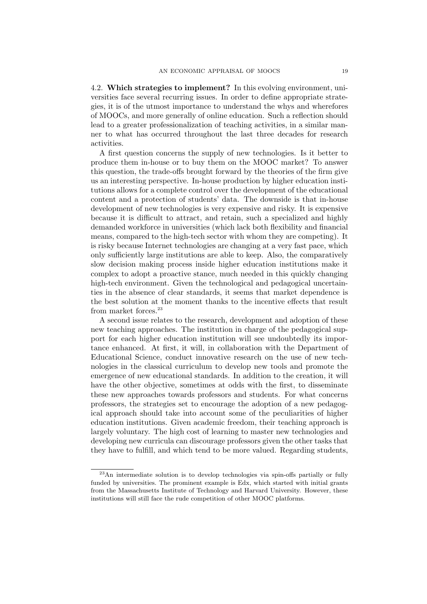4.2. Which strategies to implement? In this evolving environment, universities face several recurring issues. In order to define appropriate strategies, it is of the utmost importance to understand the whys and wherefores of MOOCs, and more generally of online education. Such a reflection should lead to a greater professionalization of teaching activities, in a similar manner to what has occurred throughout the last three decades for research activities.

A first question concerns the supply of new technologies. Is it better to produce them in-house or to buy them on the MOOC market? To answer this question, the trade-offs brought forward by the theories of the firm give us an interesting perspective. In-house production by higher education institutions allows for a complete control over the development of the educational content and a protection of students' data. The downside is that in-house development of new technologies is very expensive and risky. It is expensive because it is difficult to attract, and retain, such a specialized and highly demanded workforce in universities (which lack both flexibility and financial means, compared to the high-tech sector with whom they are competing). It is risky because Internet technologies are changing at a very fast pace, which only sufficiently large institutions are able to keep. Also, the comparatively slow decision making process inside higher education institutions make it complex to adopt a proactive stance, much needed in this quickly changing high-tech environment. Given the technological and pedagogical uncertainties in the absence of clear standards, it seems that market dependence is the best solution at the moment thanks to the incentive effects that result from market forces.<sup>23</sup>

A second issue relates to the research, development and adoption of these new teaching approaches. The institution in charge of the pedagogical support for each higher education institution will see undoubtedly its importance enhanced. At first, it will, in collaboration with the Department of Educational Science, conduct innovative research on the use of new technologies in the classical curriculum to develop new tools and promote the emergence of new educational standards. In addition to the creation, it will have the other objective, sometimes at odds with the first, to disseminate these new approaches towards professors and students. For what concerns professors, the strategies set to encourage the adoption of a new pedagogical approach should take into account some of the peculiarities of higher education institutions. Given academic freedom, their teaching approach is largely voluntary. The high cost of learning to master new technologies and developing new curricula can discourage professors given the other tasks that they have to fulfill, and which tend to be more valued. Regarding students,

<sup>23</sup>An intermediate solution is to develop technologies via spin-offs partially or fully funded by universities. The prominent example is Edx, which started with initial grants from the Massachusetts Institute of Technology and Harvard University. However, these institutions will still face the rude competition of other MOOC platforms.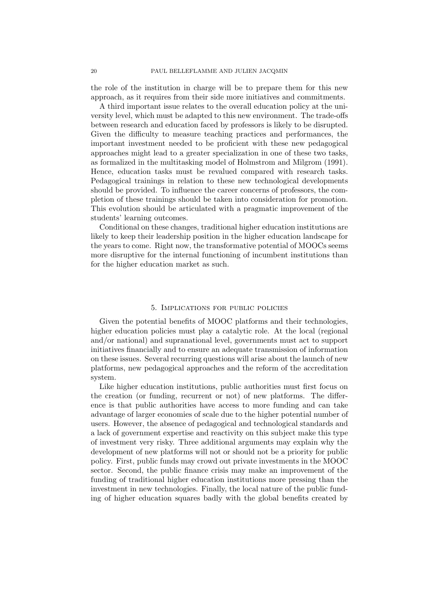the role of the institution in charge will be to prepare them for this new approach, as it requires from their side more initiatives and commitments.

A third important issue relates to the overall education policy at the university level, which must be adapted to this new environment. The trade-offs between research and education faced by professors is likely to be disrupted. Given the difficulty to measure teaching practices and performances, the important investment needed to be proficient with these new pedagogical approaches might lead to a greater specialization in one of these two tasks, as formalized in the multitasking model of Holmstrom and Milgrom (1991). Hence, education tasks must be revalued compared with research tasks. Pedagogical trainings in relation to these new technological developments should be provided. To influence the career concerns of professors, the completion of these trainings should be taken into consideration for promotion. This evolution should be articulated with a pragmatic improvement of the students' learning outcomes.

Conditional on these changes, traditional higher education institutions are likely to keep their leadership position in the higher education landscape for the years to come. Right now, the transformative potential of MOOCs seems more disruptive for the internal functioning of incumbent institutions than for the higher education market as such.

#### 5. Implications for public policies

Given the potential benefits of MOOC platforms and their technologies, higher education policies must play a catalytic role. At the local (regional and/or national) and supranational level, governments must act to support initiatives financially and to ensure an adequate transmission of information on these issues. Several recurring questions will arise about the launch of new platforms, new pedagogical approaches and the reform of the accreditation system.

Like higher education institutions, public authorities must first focus on the creation (or funding, recurrent or not) of new platforms. The difference is that public authorities have access to more funding and can take advantage of larger economies of scale due to the higher potential number of users. However, the absence of pedagogical and technological standards and a lack of government expertise and reactivity on this subject make this type of investment very risky. Three additional arguments may explain why the development of new platforms will not or should not be a priority for public policy. First, public funds may crowd out private investments in the MOOC sector. Second, the public finance crisis may make an improvement of the funding of traditional higher education institutions more pressing than the investment in new technologies. Finally, the local nature of the public funding of higher education squares badly with the global benefits created by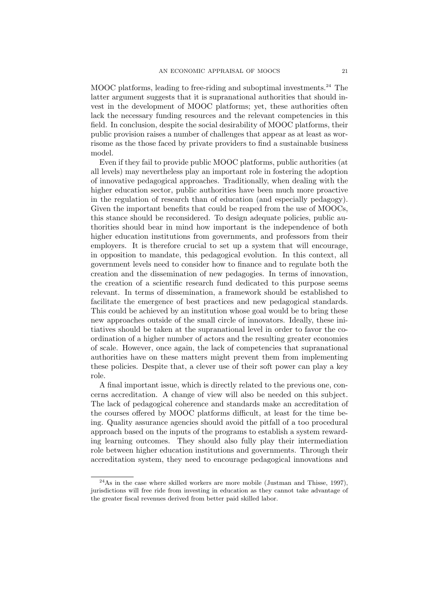MOOC platforms, leading to free-riding and suboptimal investments.<sup>24</sup> The latter argument suggests that it is supranational authorities that should invest in the development of MOOC platforms; yet, these authorities often lack the necessary funding resources and the relevant competencies in this field. In conclusion, despite the social desirability of MOOC platforms, their public provision raises a number of challenges that appear as at least as worrisome as the those faced by private providers to find a sustainable business model.

Even if they fail to provide public MOOC platforms, public authorities (at all levels) may nevertheless play an important role in fostering the adoption of innovative pedagogical approaches. Traditionally, when dealing with the higher education sector, public authorities have been much more proactive in the regulation of research than of education (and especially pedagogy). Given the important benefits that could be reaped from the use of MOOCs, this stance should be reconsidered. To design adequate policies, public authorities should bear in mind how important is the independence of both higher education institutions from governments, and professors from their employers. It is therefore crucial to set up a system that will encourage, in opposition to mandate, this pedagogical evolution. In this context, all government levels need to consider how to finance and to regulate both the creation and the dissemination of new pedagogies. In terms of innovation, the creation of a scientific research fund dedicated to this purpose seems relevant. In terms of dissemination, a framework should be established to facilitate the emergence of best practices and new pedagogical standards. This could be achieved by an institution whose goal would be to bring these new approaches outside of the small circle of innovators. Ideally, these initiatives should be taken at the supranational level in order to favor the coordination of a higher number of actors and the resulting greater economies of scale. However, once again, the lack of competencies that supranational authorities have on these matters might prevent them from implementing these policies. Despite that, a clever use of their soft power can play a key role.

A final important issue, which is directly related to the previous one, concerns accreditation. A change of view will also be needed on this subject. The lack of pedagogical coherence and standards make an accreditation of the courses offered by MOOC platforms difficult, at least for the time being. Quality assurance agencies should avoid the pitfall of a too procedural approach based on the inputs of the programs to establish a system rewarding learning outcomes. They should also fully play their intermediation role between higher education institutions and governments. Through their accreditation system, they need to encourage pedagogical innovations and

<sup>24</sup>As in the case where skilled workers are more mobile (Justman and Thisse, 1997), jurisdictions will free ride from investing in education as they cannot take advantage of the greater fiscal revenues derived from better paid skilled labor.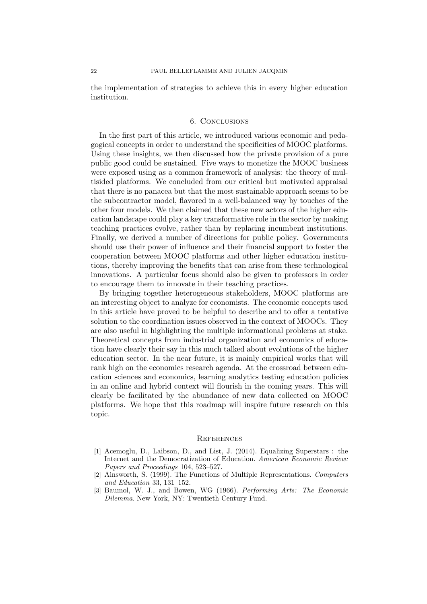the implementation of strategies to achieve this in every higher education institution.

# 6. Conclusions

In the first part of this article, we introduced various economic and pedagogical concepts in order to understand the specificities of MOOC platforms. Using these insights, we then discussed how the private provision of a pure public good could be sustained. Five ways to monetize the MOOC business were exposed using as a common framework of analysis: the theory of multisided platforms. We concluded from our critical but motivated appraisal that there is no panacea but that the most sustainable approach seems to be the subcontractor model, flavored in a well-balanced way by touches of the other four models. We then claimed that these new actors of the higher education landscape could play a key transformative role in the sector by making teaching practices evolve, rather than by replacing incumbent institutions. Finally, we derived a number of directions for public policy. Governments should use their power of influence and their financial support to foster the cooperation between MOOC platforms and other higher education institutions, thereby improving the benefits that can arise from these technological innovations. A particular focus should also be given to professors in order to encourage them to innovate in their teaching practices.

By bringing together heterogeneous stakeholders, MOOC platforms are an interesting object to analyze for economists. The economic concepts used in this article have proved to be helpful to describe and to offer a tentative solution to the coordination issues observed in the context of MOOCs. They are also useful in highlighting the multiple informational problems at stake. Theoretical concepts from industrial organization and economics of education have clearly their say in this much talked about evolutions of the higher education sector. In the near future, it is mainly empirical works that will rank high on the economics research agenda. At the crossroad between education sciences and economics, learning analytics testing education policies in an online and hybrid context will flourish in the coming years. This will clearly be facilitated by the abundance of new data collected on MOOC platforms. We hope that this roadmap will inspire future research on this topic.

#### **REFERENCES**

- [1] Acemoglu, D., Laibson, D., and List, J. (2014). Equalizing Superstars : the Internet and the Democratization of Education. American Economic Review: Papers and Proceedings 104, 523–527.
- [2] Ainsworth, S. (1999). The Functions of Multiple Representations. Computers and Education 33, 131–152.
- [3] Baumol, W. J., and Bowen, WG (1966). Performing Arts: The Economic Dilemma. New York, NY: Twentieth Century Fund.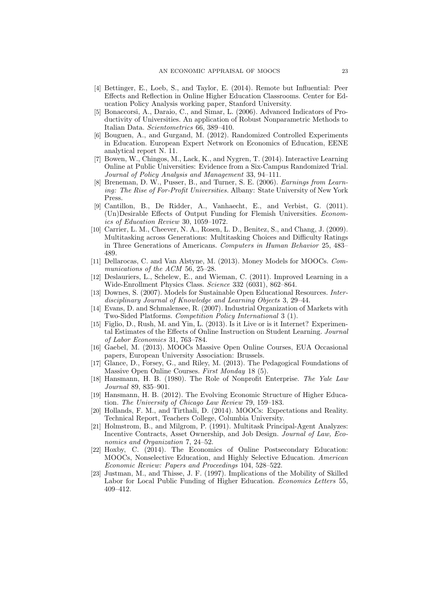- [4] Bettinger, E., Loeb, S., and Taylor, E. (2014). Remote but Influential: Peer Effects and Reflection in Online Higher Education Classrooms. Center for Education Policy Analysis working paper, Stanford University.
- [5] Bonaccorsi, A., Daraio, C., and Simar, L. (2006). Advanced Indicators of Productivity of Universities. An application of Robust Nonparametric Methods to Italian Data. Scientometrics 66, 389–410.
- [6] Bouguen, A., and Gurgand, M. (2012). Randomized Controlled Experiments in Education. European Expert Network on Economics of Education, EENE analytical report N. 11.
- [7] Bowen, W., Chingos, M., Lack, K., and Nygren, T. (2014). Interactive Learning Online at Public Universities: Evidence from a Six-Campus Randomized Trial. Journal of Policy Analysis and Management 33, 94–111.
- [8] Breneman, D. W., Pusser, B., and Turner, S. E. (2006). Earnings from Learning: The Rise of For-Profit Universities. Albany: State University of New York Press.
- [9] Cantillon, B., De Ridder, A., Vanhaecht, E., and Verbist, G. (2011). (Un)Desirable Effects of Output Funding for Flemish Universities. Economics of Education Review 30, 1059–1072.
- [10] Carrier, L. M., Cheever, N. A., Rosen, L. D., Benitez, S., and Chang, J. (2009). Multitasking across Generations: Multitasking Choices and Difficulty Ratings in Three Generations of Americans. Computers in Human Behavior 25, 483– 489.
- [11] Dellarocas, C. and Van Alstyne, M. (2013). Money Models for MOOCs. Communications of the ACM 56, 25–28.
- [12] Deslauriers, L., Schelew, E., and Wieman, C. (2011). Improved Learning in a Wide-Enrollment Physics Class. Science 332 (6031), 862–864.
- [13] Downes, S. (2007). Models for Sustainable Open Educational Resources. Interdisciplinary Journal of Knowledge and Learning Objects 3, 29–44.
- [14] Evans, D. and Schmalensee, R. (2007). Industrial Organization of Markets with Two-Sided Platforms. Competition Policy International 3 (1).
- [15] Figlio, D., Rush, M. and Yin, L. (2013). Is it Live or is it Internet? Experimental Estimates of the Effects of Online Instruction on Student Learning. Journal of Labor Economics 31, 763–784.
- [16] Gaebel, M. (2013). MOOCs Massive Open Online Courses, EUA Occasional papers, European University Association: Brussels.
- [17] Glance, D., Forsey, G., and Riley, M. (2013). The Pedagogical Foundations of Massive Open Online Courses. First Monday 18 (5).
- [18] Hansmann, H. B. (1980). The Role of Nonprofit Enterprise. The Yale Law Journal 89, 835–901.
- [19] Hansmann, H. B. (2012). The Evolving Economic Structure of Higher Education. The University of Chicago Law Review 79, 159–183.
- [20] Hollands, F. M., and Tirthali, D. (2014). MOOCs: Expectations and Reality. Technical Report, Teachers College, Columbia University.
- [21] Holmstrom, B., and Milgrom, P. (1991). Multitask Principal-Agent Analyzes: Incentive Contracts, Asset Ownership, and Job Design. Journal of Law, Economics and Organization 7, 24–52.
- [22] Hoxby, C. (2014). The Economics of Online Postsecondary Education: MOOCs, Nonselective Education, and Highly Selective Education. American Economic Review: Papers and Proceedings 104, 528–522.
- [23] Justman, M., and Thisse, J. F. (1997). Implications of the Mobility of Skilled Labor for Local Public Funding of Higher Education. Economics Letters 55, 409–412.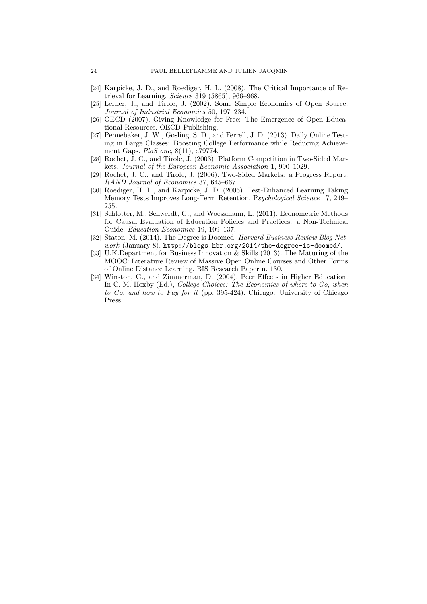- [24] Karpicke, J. D., and Roediger, H. L. (2008). The Critical Importance of Retrieval for Learning. Science 319 (5865), 966–968.
- [25] Lerner, J., and Tirole, J. (2002). Some Simple Economics of Open Source. Journal of Industrial Economics 50, 197–234.
- [26] OECD (2007). Giving Knowledge for Free: The Emergence of Open Educational Resources. OECD Publishing.
- [27] Pennebaker, J. W., Gosling, S. D., and Ferrell, J. D. (2013). Daily Online Testing in Large Classes: Boosting College Performance while Reducing Achievement Gaps. PloS one, 8(11), e79774.
- [28] Rochet, J. C., and Tirole, J. (2003). Platform Competition in Two-Sided Markets. Journal of the European Economic Association 1, 990–1029.
- [29] Rochet, J. C., and Tirole, J. (2006). Two-Sided Markets: a Progress Report. RAND Journal of Economics 37, 645–667.
- [30] Roediger, H. L., and Karpicke, J. D. (2006). Test-Enhanced Learning Taking Memory Tests Improves Long-Term Retention. Psychological Science 17, 249– 255.
- [31] Schlotter, M., Schwerdt, G., and Woessmann, L. (2011). Econometric Methods for Causal Evaluation of Education Policies and Practices: a Non-Technical Guide. Education Economics 19, 109–137.
- [32] Staton, M. (2014). The Degree is Doomed. Harvard Business Review Blog Network (January 8). http://blogs.hbr.org/2014/the-degree-is-doomed/.
- [33] U.K.Department for Business Innovation & Skills (2013). The Maturing of the MOOC: Literature Review of Massive Open Online Courses and Other Forms of Online Distance Learning. BIS Research Paper n. 130.
- [34] Winston, G., and Zimmerman, D. (2004). Peer Effects in Higher Education. In C. M. Hoxby (Ed.), *College Choices: The Economics of where to Go, when* to Go, and how to Pay for it (pp. 395-424). Chicago: University of Chicago Press.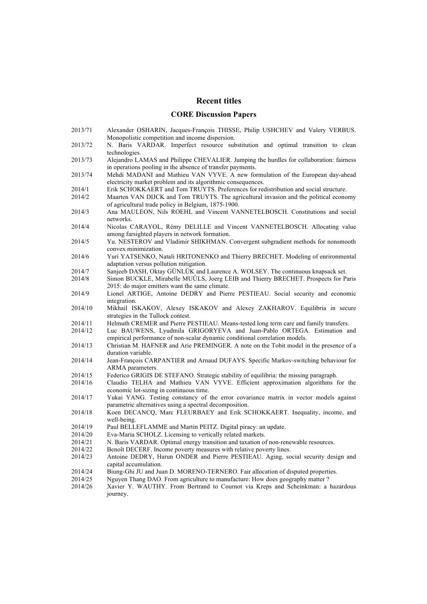# **Recent titles**

#### **CORE Discussion Papers**

- 2013/71 Alexander OSHARIN, Jacques-François THISSE, Philip USHCHEV and Valery VERBUS. Monopolistic competition and income dispersion.
- 2013/72 N. Baris VARDAR. Imperfect resource substitution and optimal transition to clean technologies.
- 2013/73 Alejandro LAMAS and Philippe CHEVALIER. Jumping the hurdles for collaboration: fairness in operations pooling in the absence of transfer payments.
- 2013/74 Mehdi MADANI and Mathieu VAN VYVE. A new formulation of the European day-ahead electricity market problem and its algorithmic consequences.
- 2014/1 Erik SCHOKKAERT and Tom TRUYTS. Preferences for redistribution and social structure.
- 2014/2 Maarten VAN DIJCK and Tom TRUYTS. The agricultural invasion and the political economy of agricultural trade policy in Belgium, 1875-1900.
- 2014/3 Ana MAULEON, Nils ROEHL and Vincent VANNETELBOSCH. Constitutions and social networks.
- 2014/4 Nicolas CARAYOL, Rémy DELILLE and Vincent VANNETELBOSCH. Allocating value among farsighted players in network formation.
- 2014/5 Yu. NESTEROV and Vladimir SHIKHMAN. Convergent subgradient methods for nonsmooth convex minimization.
- 2014/6 Yuri YATSENKO, Natali HRITONENKO and Thierry BRECHET. Modeling of enrironmental adaptation versus pollution mitigation.
- 2014/7 Sanjeeb DASH, Oktay GÜNLÜK and Laurence A. WOLSEY. The continuous knapsack set.
- 2014/8 Simon BUCKLE, Mirabelle MUÛLS, Joerg LEIB and Thierry BRECHET. Prospects for Paris 2015: do major emitters want the same climate.
- 2014/9 Lionel ARTIGE, Antoine DEDRY and Pierre PESTIEAU. Social security and economic integration.
- 2014/10 Mikhail ISKAKOV, Alexey ISKAKOV and Alexey ZAKHAROV. Equilibria in secure strategies in the Tullock contest.
- 2014/11 Helmuth CREMER and Pierre PESTIEAU. Means-tested long term care and family transfers.
- 2014/12 Luc BAUWENS, Lyudmila GRIGORYEVA and Juan-Pablo ORTEGA. Estimation and empirical performance of non-scalar dynamic conditional correlation models.
- 2014/13 Christian M. HAFNER and Arie PREMINGER. A note on the Tobit model in the presence of a duration variable.
- 2014/14 Jean-François CARPANTIER and Arnaud DUFAYS. Specific Markov-switching behaviour for ARMA parameters.
- 2014/15 Federico GRIGIS DE STEFANO. Strategic stability of equilibria: the missing paragraph.<br>2014/16 Claudio TELHA and Mathieu VAN VYVE Efficient approximation algorithms f
- 2014/16 Claudio TELHA and Mathieu VAN VYVE. Efficient approximation algorithms for the economic lot-sizing in continuous time.
- 2014/17 Yukai YANG. Testing constancy of the error covariance matrix in vector models against parametric alternatives using a spectral decomposition.
- 2014/18 Koen DECANCQ, Marc FLEURBAEY and Erik SCHOKKAERT. Inequality, income, and well-being.
- 2014/19 Paul BELLEFLAMME and Martin PEITZ. Digital piracy: an update.
- 2014/20 Eva-Maria SCHOLZ. Licensing to vertically related markets.
- 2014/21 N. Baris VARDAR. Optimal energy transition and taxation of non-renewable resources.
- 2014/22 Benoît DECERF. Income poverty measures with relative poverty lines. 2014/23 Antoine DEDRY, Harun ONDER and Pierre PESTIEAU. Aging, social security design and capital accumulation.
- 2014/24 Biung-Ghi JU and Juan D. MORENO-TERNERO. Fair allocation of disputed properties.
- 2014/25 Nguyen Thang DAO. From agriculture to manufacture: How does geography matter ?
- 2014/26 Xavier Y. WAUTHY. From Bertrand to Cournot via Kreps and Scheinkman: a hazardous journey.